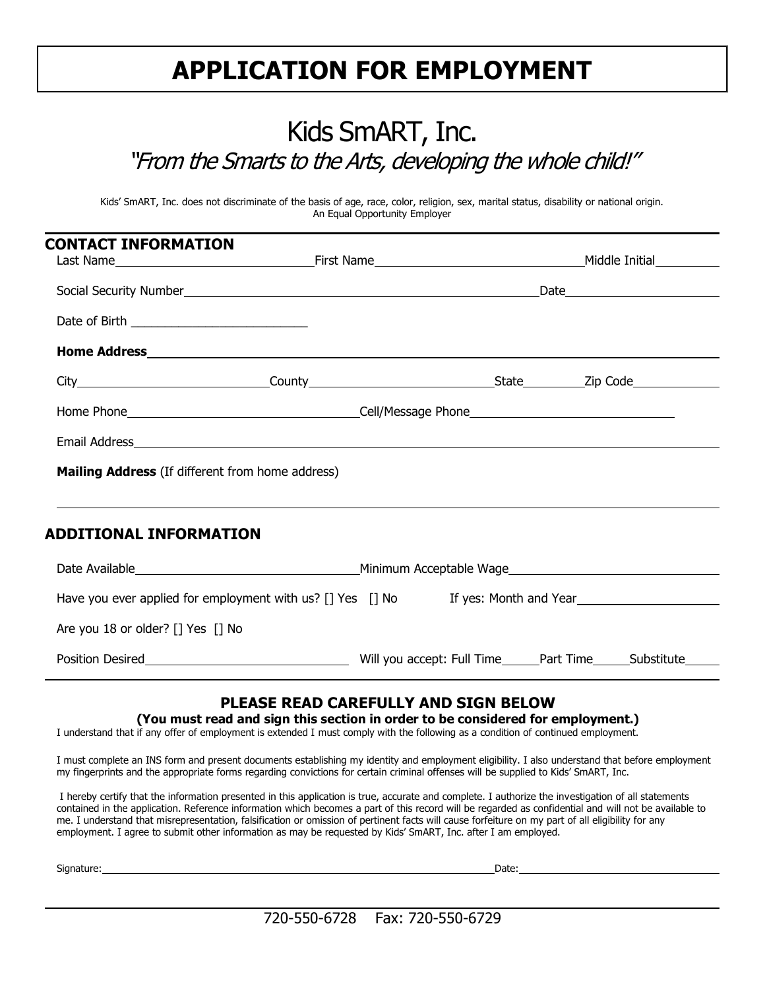## **APPLICATION FOR EMPLOYMENT**

### Kids SmART, Inc. "From the Smarts to the Arts, developing the whole child!"

Kids' SmART, Inc. does not discriminate of the basis of age, race, color, religion, sex, marital status, disability or national origin. An Equal Opportunity Employer

| <b>CONTACT INFORMATION</b>                                                        |  |  |
|-----------------------------------------------------------------------------------|--|--|
| Social Security Number<br><u> Social Security Number</u>                          |  |  |
|                                                                                   |  |  |
|                                                                                   |  |  |
|                                                                                   |  |  |
|                                                                                   |  |  |
|                                                                                   |  |  |
| Mailing Address (If different from home address)                                  |  |  |
| ADDITIONAL INFORMATION                                                            |  |  |
|                                                                                   |  |  |
| Have you ever applied for employment with us? [] Yes [] No If yes: Month and Year |  |  |
| Are you 18 or older? [] Yes [] No                                                 |  |  |
|                                                                                   |  |  |

### **PLEASE READ CAREFULLY AND SIGN BELOW**

**(You must read and sign this section in order to be considered for employment.)**

I understand that if any offer of employment is extended I must comply with the following as a condition of continued employment.

I must complete an INS form and present documents establishing my identity and employment eligibility. I also understand that before employment my fingerprints and the appropriate forms regarding convictions for certain criminal offenses will be supplied to Kids' SmART, Inc.

I hereby certify that the information presented in this application is true, accurate and complete. I authorize the investigation of all statements contained in the application. Reference information which becomes a part of this record will be regarded as confidential and will not be available to me. I understand that misrepresentation, falsification or omission of pertinent facts will cause forfeiture on my part of all eligibility for any employment. I agree to submit other information as may be requested by Kids' SmART, Inc. after I am employed.

Signature: Date:

720-550-6728 Fax: 720-550-6729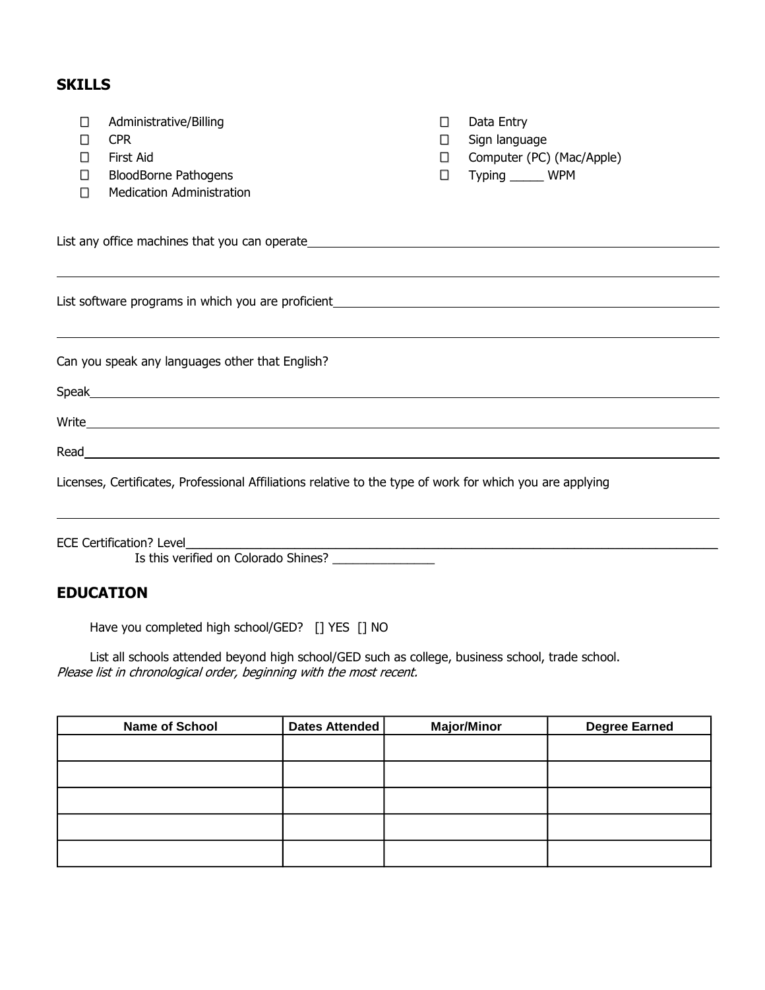### **SKILLS**

| П<br>H<br>□<br>П                                                                                                                                                                                    | Administrative/Billing<br><b>CPR</b><br>First Aid<br><b>BloodBorne Pathogens</b><br><b>Medication Administration</b> | П<br>П<br>П.<br>$\Box$ | Data Entry<br>Sign language<br>Computer (PC) (Mac/Apple)<br>Typing ______ WPM |  |
|-----------------------------------------------------------------------------------------------------------------------------------------------------------------------------------------------------|----------------------------------------------------------------------------------------------------------------------|------------------------|-------------------------------------------------------------------------------|--|
|                                                                                                                                                                                                     | ,我们也不会有什么?""我们的人,我们也不会有什么?""我们的人,我们也不会有什么?""我们的人,我们也不会有什么?""我们的人,我们也不会有什么?""我们的人                                     |                        |                                                                               |  |
|                                                                                                                                                                                                     |                                                                                                                      |                        |                                                                               |  |
|                                                                                                                                                                                                     | Can you speak any languages other that English?                                                                      |                        |                                                                               |  |
|                                                                                                                                                                                                     |                                                                                                                      |                        |                                                                               |  |
|                                                                                                                                                                                                     |                                                                                                                      |                        |                                                                               |  |
|                                                                                                                                                                                                     |                                                                                                                      |                        |                                                                               |  |
| Licenses, Certificates, Professional Affiliations relative to the type of work for which you are applying                                                                                           |                                                                                                                      |                        |                                                                               |  |
| ECE Certification? Level__________<br><u> 1989 - Johann Stoff, deutscher Stoff, der Stoff, der Stoff, der Stoff, der Stoff, der Stoff, der Stoff, der S</u><br>Is this verified on Colorado Shines? |                                                                                                                      |                        |                                                                               |  |

### **EDUCATION**

Have you completed high school/GED? [] YES [] NO

List all schools attended beyond high school/GED such as college, business school, trade school. Please list in chronological order, beginning with the most recent.

| <b>Name of School</b> | Dates Attended | <b>Major/Minor</b> | <b>Degree Earned</b> |
|-----------------------|----------------|--------------------|----------------------|
|                       |                |                    |                      |
|                       |                |                    |                      |
|                       |                |                    |                      |
|                       |                |                    |                      |
|                       |                |                    |                      |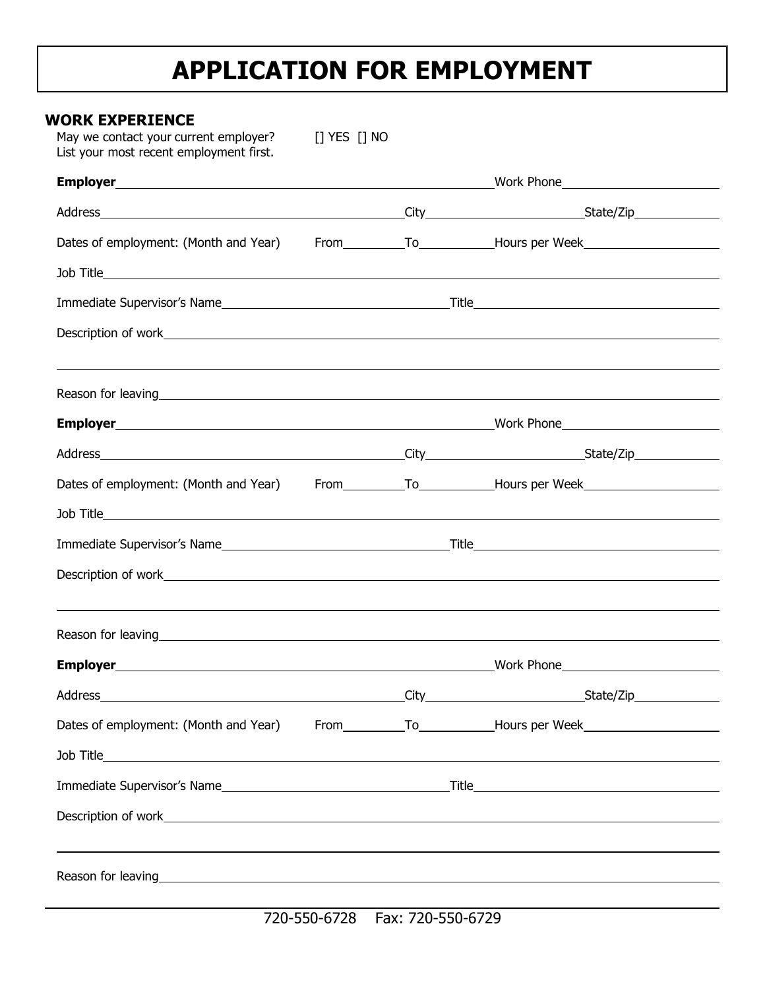## **APPLICATION FOR EMPLOYMENT**

| WORK EXPERIENCE<br>May we contact your current employer?<br>List your most recent employment first. | [] YES [] NO |                                                                                                                                                                                                    |
|-----------------------------------------------------------------------------------------------------|--------------|----------------------------------------------------------------------------------------------------------------------------------------------------------------------------------------------------|
|                                                                                                     |              |                                                                                                                                                                                                    |
|                                                                                                     |              |                                                                                                                                                                                                    |
|                                                                                                     |              | Dates of employment: (Month and Year) From __________________________Hours per Week__________________________                                                                                      |
|                                                                                                     |              |                                                                                                                                                                                                    |
|                                                                                                     |              |                                                                                                                                                                                                    |
|                                                                                                     |              |                                                                                                                                                                                                    |
|                                                                                                     |              | Reason for leaving example and the contract of the contract of the contract of the contract of the contract of                                                                                     |
|                                                                                                     |              |                                                                                                                                                                                                    |
|                                                                                                     |              |                                                                                                                                                                                                    |
|                                                                                                     |              | Dates of employment: (Month and Year) From ___________________________Hours per Week__________________________                                                                                     |
|                                                                                                     |              |                                                                                                                                                                                                    |
|                                                                                                     |              |                                                                                                                                                                                                    |
|                                                                                                     |              |                                                                                                                                                                                                    |
|                                                                                                     |              | ,我们也不会有什么。""我们的人,我们也不会有什么?""我们的人,我们也不会有什么?""我们的人,我们也不会有什么?""我们的人,我们也不会有什么?""我们的人<br>Reason for leaving example and the contract of the contract of the contract of the contract of the contract of |
| Employer_                                                                                           |              | Work Phone<br><u> 1980 - Johann Barn, mars an t-Amerikaansk komponister (</u>                                                                                                                      |
|                                                                                                     |              |                                                                                                                                                                                                    |
|                                                                                                     |              | Dates of employment: (Month and Year) From __________________________Hours per Week__________________________                                                                                      |
|                                                                                                     |              |                                                                                                                                                                                                    |
|                                                                                                     |              |                                                                                                                                                                                                    |
|                                                                                                     |              |                                                                                                                                                                                                    |
|                                                                                                     |              |                                                                                                                                                                                                    |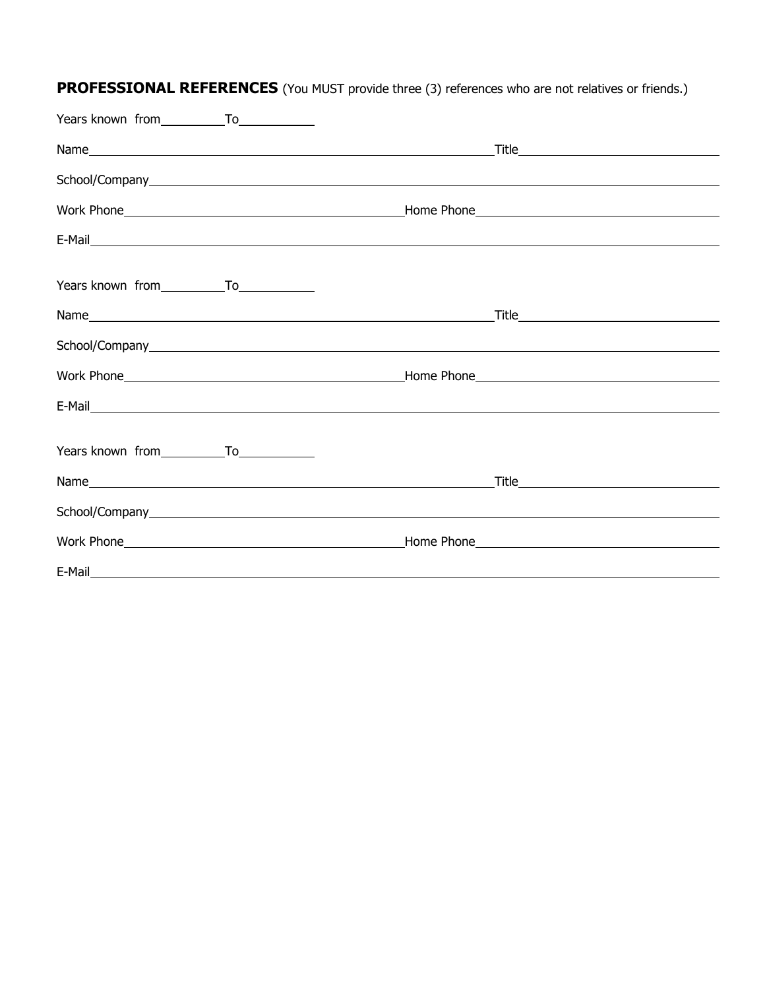|        |                                                                                                                       | Name <u> University of the University of Title</u> Title |
|--------|-----------------------------------------------------------------------------------------------------------------------|----------------------------------------------------------|
|        |                                                                                                                       |                                                          |
|        |                                                                                                                       |                                                          |
|        |                                                                                                                       |                                                          |
|        |                                                                                                                       |                                                          |
|        |                                                                                                                       |                                                          |
|        |                                                                                                                       |                                                          |
|        |                                                                                                                       |                                                          |
|        |                                                                                                                       |                                                          |
|        |                                                                                                                       |                                                          |
|        |                                                                                                                       |                                                          |
|        |                                                                                                                       |                                                          |
|        |                                                                                                                       |                                                          |
| E-Mail | <u> 1989 - Johann Barn, mars ann an t-Amhain Aonaichte ann an t-Aonaichte ann an t-Aonaichte ann an t-Aonaichte a</u> |                                                          |

**PROFESSIONAL REFERENCES** (You MUST provide three (3) references who are not relatives or friends.)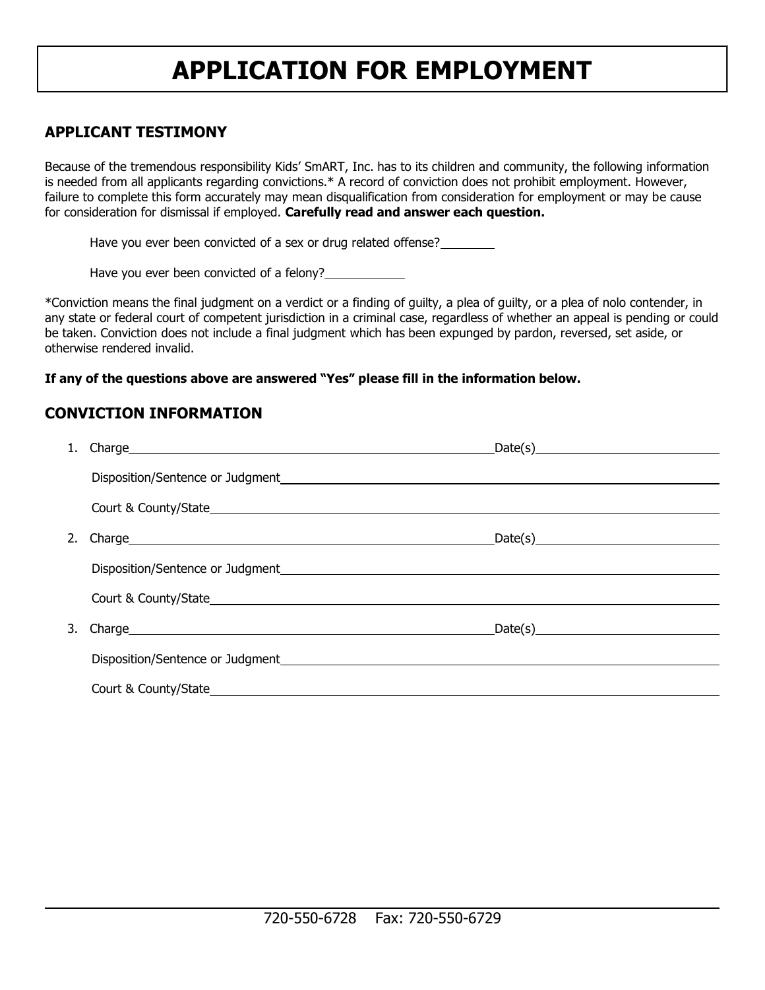## **APPLICATION FOR EMPLOYMENT**

#### **APPLICANT TESTIMONY**

Because of the tremendous responsibility Kids' SmART, Inc. has to its children and community, the following information is needed from all applicants regarding convictions.\* A record of conviction does not prohibit employment. However, failure to complete this form accurately may mean disqualification from consideration for employment or may be cause for consideration for dismissal if employed. **Carefully read and answer each question.**

Have you ever been convicted of a sex or drug related offense?

Have you ever been convicted of a felony?

\*Conviction means the final judgment on a verdict or a finding of guilty, a plea of guilty, or a plea of nolo contender, in any state or federal court of competent jurisdiction in a criminal case, regardless of whether an appeal is pending or could be taken. Conviction does not include a final judgment which has been expunged by pardon, reversed, set aside, or otherwise rendered invalid.

#### **If any of the questions above are answered "Yes" please fill in the information below.**

#### **CONVICTION INFORMATION**

|  | $\text{Date}(s) \qquad \qquad \text{Date}(s)$ |
|--|-----------------------------------------------|
|  |                                               |
|  |                                               |
|  | $Date(s)$ and $Time(s)$                       |
|  |                                               |
|  |                                               |
|  | $Date(s)$ and $true(1)$                       |
|  |                                               |
|  |                                               |